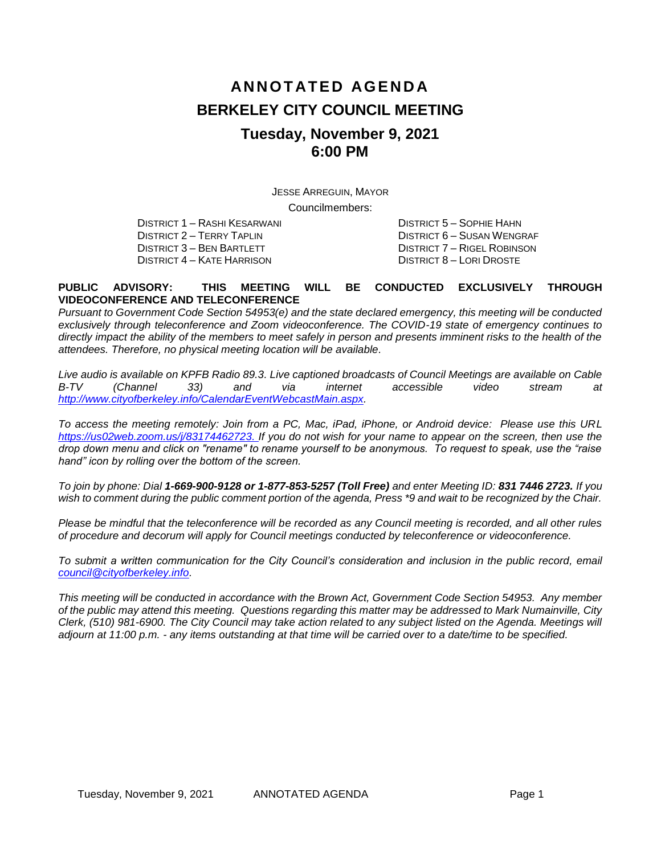# **AN N O T AT E D AG E N D A BERKELEY CITY COUNCIL MEETING Tuesday, November 9, 2021 6:00 PM**

JESSE ARREGUIN, MAYOR

Councilmembers:

DISTRICT 3 – BEN BARTLETT DISTRICT 7 – RIGEL ROBINSON DISTRICT 4 – KATE HARRISON DISTRICT 8 – LORI DROSTE

DISTRICT 1 – RASHI KESARWANI DISTRICT 5 – SOPHIE HAHN DISTRICT 2 – TERRY TAPLIN DISTRICT 6 – SUSAN WENGRAF

#### **PUBLIC ADVISORY: THIS MEETING WILL BE CONDUCTED EXCLUSIVELY THROUGH VIDEOCONFERENCE AND TELECONFERENCE**

*Pursuant to Government Code Section 54953(e) and the state declared emergency, this meeting will be conducted exclusively through teleconference and Zoom videoconference. The COVID-19 state of emergency continues to*  directly impact the ability of the members to meet safely in person and presents imminent risks to the health of the *attendees. Therefore, no physical meeting location will be available.*

*Live audio is available on KPFB Radio 89.3. Live captioned broadcasts of Council Meetings are available on Cable B-TV (Channel 33) and via internet accessible video stream at [http://www.cityofberkeley.info/CalendarEventWebcastMain.aspx.](http://www.cityofberkeley.info/CalendarEventWebcastMain.aspx)*

*To access the meeting remotely: Join from a PC, Mac, iPad, iPhone, or Android device: Please use this URL [https://us02web.zoom.us/j/83174462723.](https://us02web.zoom.us/j/83174462723) If you do not wish for your name to appear on the screen, then use the drop down menu and click on "rename" to rename yourself to be anonymous. To request to speak, use the "raise hand" icon by rolling over the bottom of the screen.* 

*To join by phone: Dial 1-669-900-9128 or 1-877-853-5257 (Toll Free) and enter Meeting ID: 831 7446 2723. If you*  wish to comment during the public comment portion of the agenda, Press \*9 and wait to be recognized by the Chair.

*Please be mindful that the teleconference will be recorded as any Council meeting is recorded, and all other rules of procedure and decorum will apply for Council meetings conducted by teleconference or videoconference.*

*To submit a written communication for the City Council's consideration and inclusion in the public record, email [council@cityofberkeley.info.](mailto:council@cityofberkeley.info)*

*This meeting will be conducted in accordance with the Brown Act, Government Code Section 54953. Any member of the public may attend this meeting. Questions regarding this matter may be addressed to Mark Numainville, City Clerk, (510) 981-6900. The City Council may take action related to any subject listed on the Agenda. Meetings will adjourn at 11:00 p.m. - any items outstanding at that time will be carried over to a date/time to be specified.*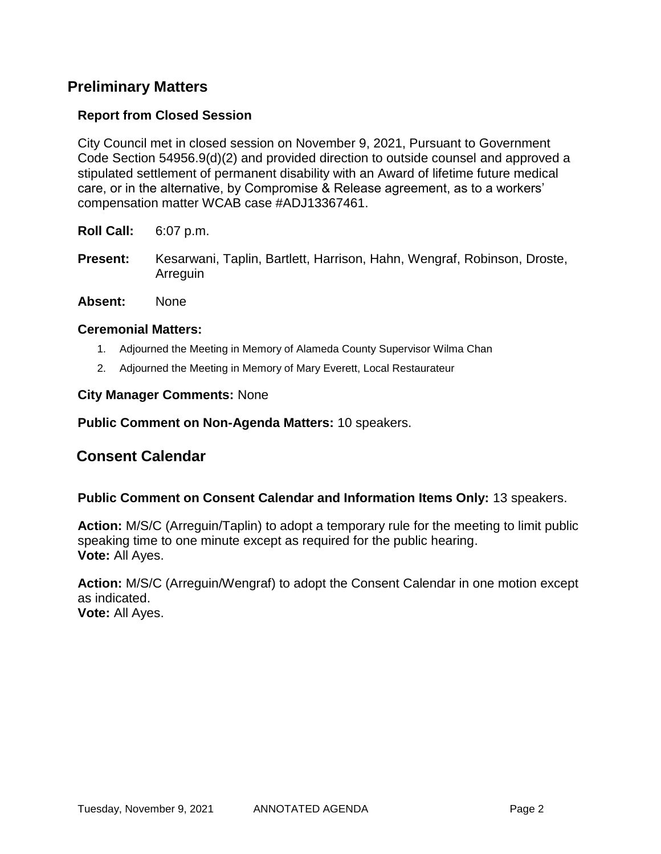## **Preliminary Matters**

## **Report from Closed Session**

City Council met in closed session on November 9, 2021, Pursuant to Government Code Section 54956.9(d)(2) and provided direction to outside counsel and approved a stipulated settlement of permanent disability with an Award of lifetime future medical care, or in the alternative, by Compromise & Release agreement, as to a workers' compensation matter WCAB case #ADJ13367461.

**Roll Call:** 6:07 p.m.

- **Present:** Kesarwani, Taplin, Bartlett, Harrison, Hahn, Wengraf, Robinson, Droste, Arreguin
- **Absent:** None

### **Ceremonial Matters:**

- 1. Adjourned the Meeting in Memory of Alameda County Supervisor Wilma Chan
- 2. Adjourned the Meeting in Memory of Mary Everett, Local Restaurateur

#### **City Manager Comments:** None

### **Public Comment on Non-Agenda Matters:** 10 speakers.

## **Consent Calendar**

### **Public Comment on Consent Calendar and Information Items Only:** 13 speakers.

**Action:** M/S/C (Arreguin/Taplin) to adopt a temporary rule for the meeting to limit public speaking time to one minute except as required for the public hearing. **Vote:** All Ayes.

**Action:** M/S/C (Arreguin/Wengraf) to adopt the Consent Calendar in one motion except as indicated. **Vote:** All Ayes.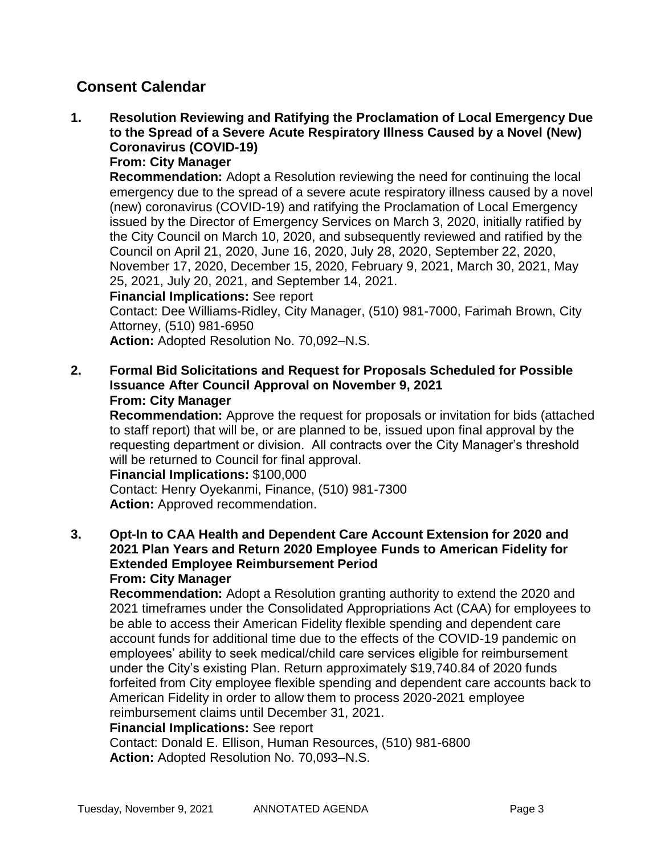# **Consent Calendar**

**1. Resolution Reviewing and Ratifying the Proclamation of Local Emergency Due to the Spread of a Severe Acute Respiratory Illness Caused by a Novel (New) Coronavirus (COVID-19)**

## **From: City Manager**

**Recommendation:** Adopt a Resolution reviewing the need for continuing the local emergency due to the spread of a severe acute respiratory illness caused by a novel (new) coronavirus (COVID-19) and ratifying the Proclamation of Local Emergency issued by the Director of Emergency Services on March 3, 2020, initially ratified by the City Council on March 10, 2020, and subsequently reviewed and ratified by the Council on April 21, 2020, June 16, 2020, July 28, 2020, September 22, 2020, November 17, 2020, December 15, 2020, February 9, 2021, March 30, 2021, May 25, 2021, July 20, 2021, and September 14, 2021.

### **Financial Implications:** See report

Contact: Dee Williams-Ridley, City Manager, (510) 981-7000, Farimah Brown, City Attorney, (510) 981-6950

**Action:** Adopted Resolution No. 70,092–N.S.

**2. Formal Bid Solicitations and Request for Proposals Scheduled for Possible Issuance After Council Approval on November 9, 2021 From: City Manager**

**Recommendation:** Approve the request for proposals or invitation for bids (attached to staff report) that will be, or are planned to be, issued upon final approval by the requesting department or division. All contracts over the City Manager's threshold will be returned to Council for final approval.

### **Financial Implications:** \$100,000

Contact: Henry Oyekanmi, Finance, (510) 981-7300 **Action:** Approved recommendation.

**3. Opt-In to CAA Health and Dependent Care Account Extension for 2020 and 2021 Plan Years and Return 2020 Employee Funds to American Fidelity for Extended Employee Reimbursement Period From: City Manager**

**Recommendation:** Adopt a Resolution granting authority to extend the 2020 and 2021 timeframes under the Consolidated Appropriations Act (CAA) for employees to be able to access their American Fidelity flexible spending and dependent care account funds for additional time due to the effects of the COVID-19 pandemic on employees' ability to seek medical/child care services eligible for reimbursement under the City's existing Plan. Return approximately \$19,740.84 of 2020 funds forfeited from City employee flexible spending and dependent care accounts back to American Fidelity in order to allow them to process 2020-2021 employee reimbursement claims until December 31, 2021.

### **Financial Implications:** See report

Contact: Donald E. Ellison, Human Resources, (510) 981-6800 **Action:** Adopted Resolution No. 70,093–N.S.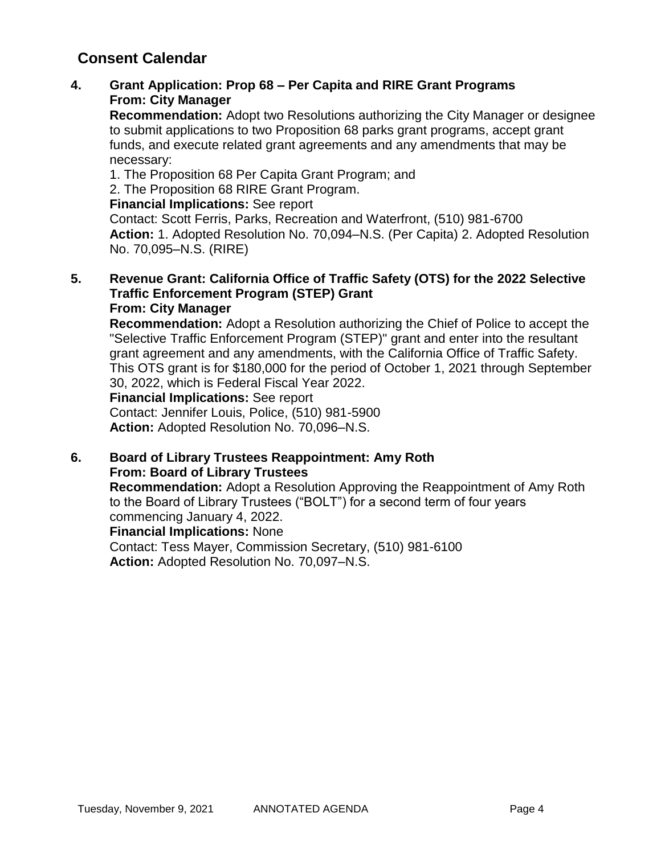# **Consent Calendar**

## **4. Grant Application: Prop 68 – Per Capita and RIRE Grant Programs From: City Manager**

**Recommendation:** Adopt two Resolutions authorizing the City Manager or designee to submit applications to two Proposition 68 parks grant programs, accept grant funds, and execute related grant agreements and any amendments that may be necessary:

1. The Proposition 68 Per Capita Grant Program; and

2. The Proposition 68 RIRE Grant Program.

## **Financial Implications:** See report

Contact: Scott Ferris, Parks, Recreation and Waterfront, (510) 981-6700 **Action:** 1. Adopted Resolution No. 70,094–N.S. (Per Capita) 2. Adopted Resolution No. 70,095–N.S. (RIRE)

### **5. Revenue Grant: California Office of Traffic Safety (OTS) for the 2022 Selective Traffic Enforcement Program (STEP) Grant From: City Manager**

**Recommendation:** Adopt a Resolution authorizing the Chief of Police to accept the "Selective Traffic Enforcement Program (STEP)" grant and enter into the resultant grant agreement and any amendments, with the California Office of Traffic Safety. This OTS grant is for \$180,000 for the period of October 1, 2021 through September 30, 2022, which is Federal Fiscal Year 2022.

### **Financial Implications:** See report

Contact: Jennifer Louis, Police, (510) 981-5900 **Action:** Adopted Resolution No. 70,096–N.S.

### **6. Board of Library Trustees Reappointment: Amy Roth From: Board of Library Trustees**

**Recommendation:** Adopt a Resolution Approving the Reappointment of Amy Roth to the Board of Library Trustees ("BOLT") for a second term of four years commencing January 4, 2022.

### **Financial Implications:** None

Contact: Tess Mayer, Commission Secretary, (510) 981-6100 **Action:** Adopted Resolution No. 70,097–N.S.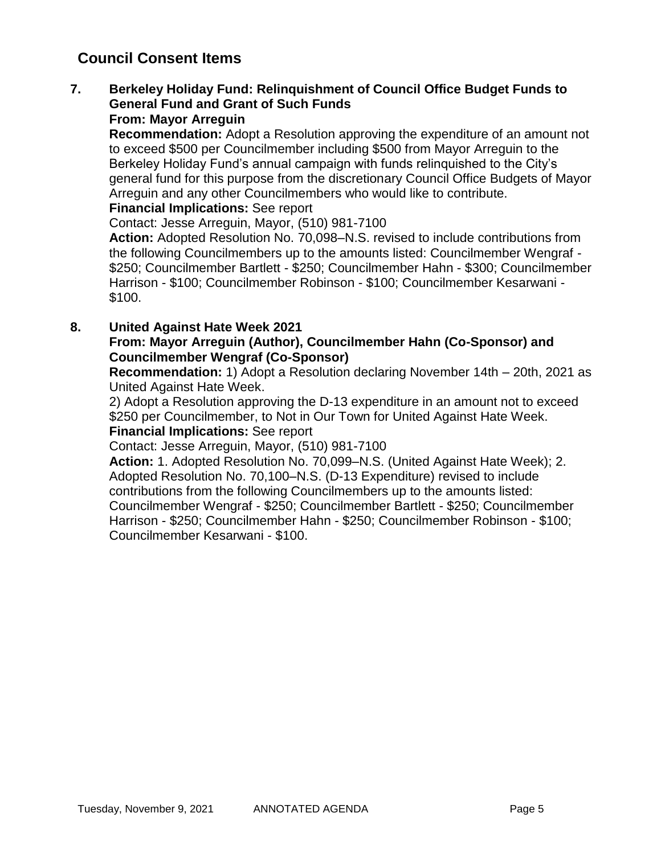### **7. Berkeley Holiday Fund: Relinquishment of Council Office Budget Funds to General Fund and Grant of Such Funds From: Mayor Arreguin**

**Recommendation:** Adopt a Resolution approving the expenditure of an amount not to exceed \$500 per Councilmember including \$500 from Mayor Arreguin to the Berkeley Holiday Fund's annual campaign with funds relinquished to the City's general fund for this purpose from the discretionary Council Office Budgets of Mayor Arreguin and any other Councilmembers who would like to contribute.

**Financial Implications:** See report

Contact: Jesse Arreguin, Mayor, (510) 981-7100

**Action:** Adopted Resolution No. 70,098–N.S. revised to include contributions from the following Councilmembers up to the amounts listed: Councilmember Wengraf - \$250; Councilmember Bartlett - \$250; Councilmember Hahn - \$300; Councilmember Harrison - \$100; Councilmember Robinson - \$100; Councilmember Kesarwani - \$100.

## **8. United Against Hate Week 2021**

## **From: Mayor Arreguin (Author), Councilmember Hahn (Co-Sponsor) and Councilmember Wengraf (Co-Sponsor)**

**Recommendation:** 1) Adopt a Resolution declaring November 14th – 20th, 2021 as United Against Hate Week.

2) Adopt a Resolution approving the D-13 expenditure in an amount not to exceed \$250 per Councilmember, to Not in Our Town for United Against Hate Week. **Financial Implications:** See report

Contact: Jesse Arreguin, Mayor, (510) 981-7100

**Action:** 1. Adopted Resolution No. 70,099–N.S. (United Against Hate Week); 2. Adopted Resolution No. 70,100–N.S. (D-13 Expenditure) revised to include contributions from the following Councilmembers up to the amounts listed: Councilmember Wengraf - \$250; Councilmember Bartlett - \$250; Councilmember Harrison - \$250; Councilmember Hahn - \$250; Councilmember Robinson - \$100; Councilmember Kesarwani - \$100.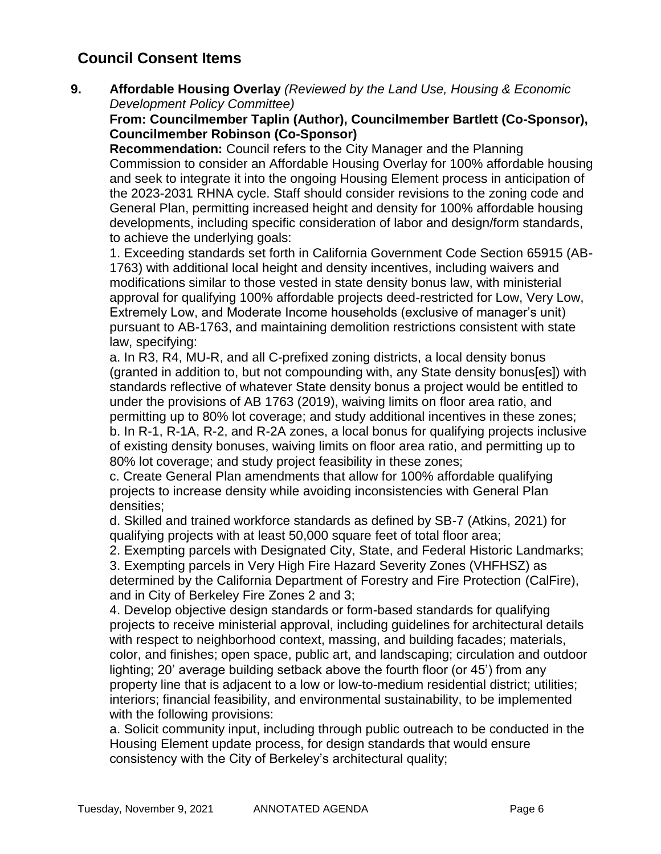**9. Affordable Housing Overlay** *(Reviewed by the Land Use, Housing & Economic Development Policy Committee)*

## **From: Councilmember Taplin (Author), Councilmember Bartlett (Co-Sponsor), Councilmember Robinson (Co-Sponsor)**

**Recommendation:** Council refers to the City Manager and the Planning Commission to consider an Affordable Housing Overlay for 100% affordable housing and seek to integrate it into the ongoing Housing Element process in anticipation of the 2023-2031 RHNA cycle. Staff should consider revisions to the zoning code and General Plan, permitting increased height and density for 100% affordable housing developments, including specific consideration of labor and design/form standards, to achieve the underlying goals:

1. Exceeding standards set forth in California Government Code Section 65915 (AB-1763) with additional local height and density incentives, including waivers and modifications similar to those vested in state density bonus law, with ministerial approval for qualifying 100% affordable projects deed-restricted for Low, Very Low, Extremely Low, and Moderate Income households (exclusive of manager's unit) pursuant to AB-1763, and maintaining demolition restrictions consistent with state law, specifying:

a. In R3, R4, MU-R, and all C-prefixed zoning districts, a local density bonus (granted in addition to, but not compounding with, any State density bonus[es]) with standards reflective of whatever State density bonus a project would be entitled to under the provisions of AB 1763 (2019), waiving limits on floor area ratio, and permitting up to 80% lot coverage; and study additional incentives in these zones; b. In R-1, R-1A, R-2, and R-2A zones, a local bonus for qualifying projects inclusive of existing density bonuses, waiving limits on floor area ratio, and permitting up to 80% lot coverage; and study project feasibility in these zones;

c. Create General Plan amendments that allow for 100% affordable qualifying projects to increase density while avoiding inconsistencies with General Plan densities;

d. Skilled and trained workforce standards as defined by SB-7 (Atkins, 2021) for qualifying projects with at least 50,000 square feet of total floor area;

2. Exempting parcels with Designated City, State, and Federal Historic Landmarks;

3. Exempting parcels in Very High Fire Hazard Severity Zones (VHFHSZ) as determined by the California Department of Forestry and Fire Protection (CalFire), and in City of Berkeley Fire Zones 2 and 3;

4. Develop objective design standards or form-based standards for qualifying projects to receive ministerial approval, including guidelines for architectural details with respect to neighborhood context, massing, and building facades; materials, color, and finishes; open space, public art, and landscaping; circulation and outdoor lighting; 20' average building setback above the fourth floor (or 45') from any property line that is adjacent to a low or low-to-medium residential district; utilities; interiors; financial feasibility, and environmental sustainability, to be implemented with the following provisions:

a. Solicit community input, including through public outreach to be conducted in the Housing Element update process, for design standards that would ensure consistency with the City of Berkeley's architectural quality;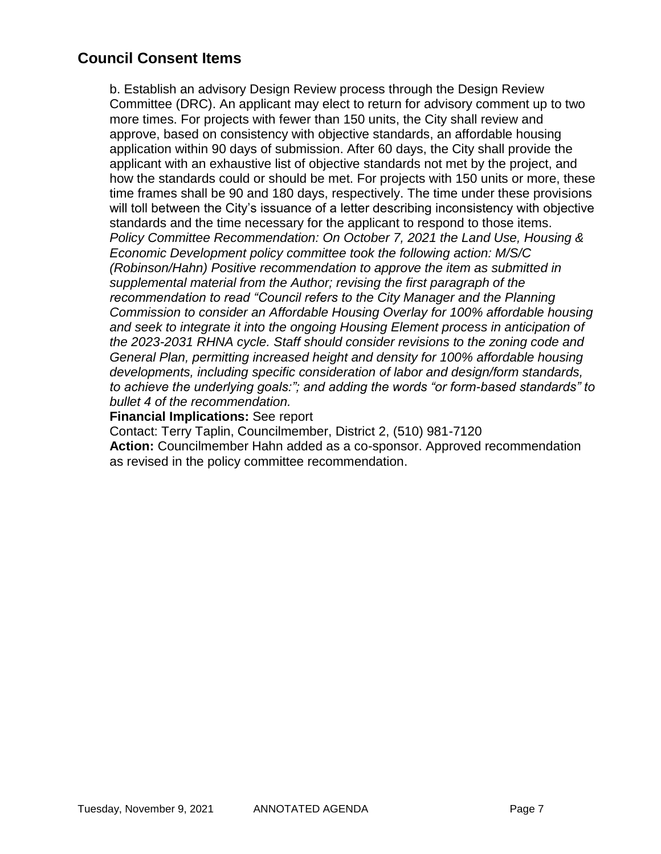b. Establish an advisory Design Review process through the Design Review Committee (DRC). An applicant may elect to return for advisory comment up to two more times. For projects with fewer than 150 units, the City shall review and approve, based on consistency with objective standards, an affordable housing application within 90 days of submission. After 60 days, the City shall provide the applicant with an exhaustive list of objective standards not met by the project, and how the standards could or should be met. For projects with 150 units or more, these time frames shall be 90 and 180 days, respectively. The time under these provisions will toll between the City's issuance of a letter describing inconsistency with objective standards and the time necessary for the applicant to respond to those items. *Policy Committee Recommendation: On October 7, 2021 the Land Use, Housing & Economic Development policy committee took the following action: M/S/C (Robinson/Hahn) Positive recommendation to approve the item as submitted in supplemental material from the Author; revising the first paragraph of the recommendation to read "Council refers to the City Manager and the Planning Commission to consider an Affordable Housing Overlay for 100% affordable housing and seek to integrate it into the ongoing Housing Element process in anticipation of the 2023-2031 RHNA cycle. Staff should consider revisions to the zoning code and General Plan, permitting increased height and density for 100% affordable housing developments, including specific consideration of labor and design/form standards, to achieve the underlying goals:"; and adding the words "or form-based standards" to bullet 4 of the recommendation.*

### **Financial Implications:** See report

Contact: Terry Taplin, Councilmember, District 2, (510) 981-7120 **Action:** Councilmember Hahn added as a co-sponsor. Approved recommendation as revised in the policy committee recommendation.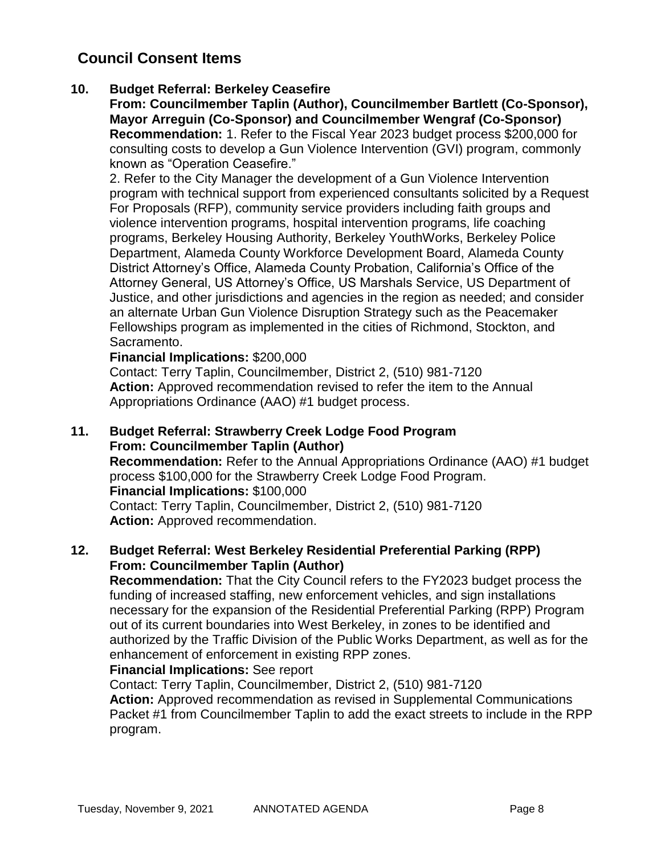## **10. Budget Referral: Berkeley Ceasefire**

**From: Councilmember Taplin (Author), Councilmember Bartlett (Co-Sponsor), Mayor Arreguin (Co-Sponsor) and Councilmember Wengraf (Co-Sponsor) Recommendation:** 1. Refer to the Fiscal Year 2023 budget process \$200,000 for consulting costs to develop a Gun Violence Intervention (GVI) program, commonly known as "Operation Ceasefire."

2. Refer to the City Manager the development of a Gun Violence Intervention program with technical support from experienced consultants solicited by a Request For Proposals (RFP), community service providers including faith groups and violence intervention programs, hospital intervention programs, life coaching programs, Berkeley Housing Authority, Berkeley YouthWorks, Berkeley Police Department, Alameda County Workforce Development Board, Alameda County District Attorney's Office, Alameda County Probation, California's Office of the Attorney General, US Attorney's Office, US Marshals Service, US Department of Justice, and other jurisdictions and agencies in the region as needed; and consider an alternate Urban Gun Violence Disruption Strategy such as the Peacemaker Fellowships program as implemented in the cities of Richmond, Stockton, and Sacramento.

## **Financial Implications:** \$200,000

Contact: Terry Taplin, Councilmember, District 2, (510) 981-7120 **Action:** Approved recommendation revised to refer the item to the Annual Appropriations Ordinance (AAO) #1 budget process.

### **11. Budget Referral: Strawberry Creek Lodge Food Program From: Councilmember Taplin (Author)**

**Recommendation:** Refer to the Annual Appropriations Ordinance (AAO) #1 budget process \$100,000 for the Strawberry Creek Lodge Food Program. **Financial Implications:** \$100,000 Contact: Terry Taplin, Councilmember, District 2, (510) 981-7120

**Action:** Approved recommendation.

## **12. Budget Referral: West Berkeley Residential Preferential Parking (RPP) From: Councilmember Taplin (Author)**

**Recommendation:** That the City Council refers to the FY2023 budget process the funding of increased staffing, new enforcement vehicles, and sign installations necessary for the expansion of the Residential Preferential Parking (RPP) Program out of its current boundaries into West Berkeley, in zones to be identified and authorized by the Traffic Division of the Public Works Department, as well as for the enhancement of enforcement in existing RPP zones.

## **Financial Implications:** See report

Contact: Terry Taplin, Councilmember, District 2, (510) 981-7120 **Action:** Approved recommendation as revised in Supplemental Communications Packet #1 from Councilmember Taplin to add the exact streets to include in the RPP program.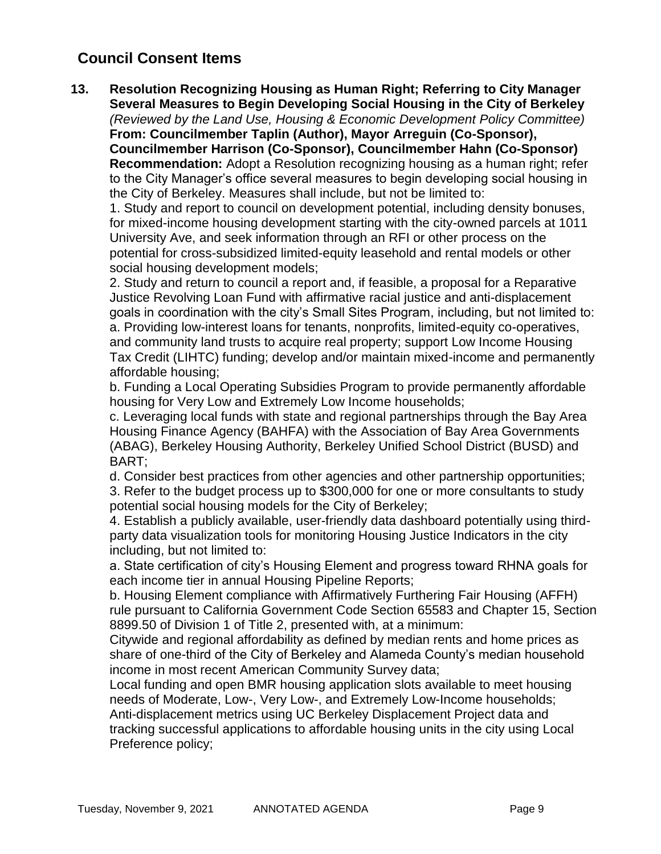**13. Resolution Recognizing Housing as Human Right; Referring to City Manager Several Measures to Begin Developing Social Housing in the City of Berkeley** *(Reviewed by the Land Use, Housing & Economic Development Policy Committee)* **From: Councilmember Taplin (Author), Mayor Arreguin (Co-Sponsor), Councilmember Harrison (Co-Sponsor), Councilmember Hahn (Co-Sponsor) Recommendation:** Adopt a Resolution recognizing housing as a human right; refer to the City Manager's office several measures to begin developing social housing in the City of Berkeley. Measures shall include, but not be limited to:

1. Study and report to council on development potential, including density bonuses, for mixed-income housing development starting with the city-owned parcels at 1011 University Ave, and seek information through an RFI or other process on the potential for cross-subsidized limited-equity leasehold and rental models or other social housing development models;

2. Study and return to council a report and, if feasible, a proposal for a Reparative Justice Revolving Loan Fund with affirmative racial justice and anti-displacement goals in coordination with the city's Small Sites Program, including, but not limited to: a. Providing low-interest loans for tenants, nonprofits, limited-equity co-operatives, and community land trusts to acquire real property; support Low Income Housing Tax Credit (LIHTC) funding; develop and/or maintain mixed-income and permanently affordable housing;

b. Funding a Local Operating Subsidies Program to provide permanently affordable housing for Very Low and Extremely Low Income households;

c. Leveraging local funds with state and regional partnerships through the Bay Area Housing Finance Agency (BAHFA) with the Association of Bay Area Governments (ABAG), Berkeley Housing Authority, Berkeley Unified School District (BUSD) and BART;

d. Consider best practices from other agencies and other partnership opportunities;

3. Refer to the budget process up to \$300,000 for one or more consultants to study potential social housing models for the City of Berkeley;

4. Establish a publicly available, user-friendly data dashboard potentially using thirdparty data visualization tools for monitoring Housing Justice Indicators in the city including, but not limited to:

a. State certification of city's Housing Element and progress toward RHNA goals for each income tier in annual Housing Pipeline Reports;

b. Housing Element compliance with Affirmatively Furthering Fair Housing (AFFH) rule pursuant to California Government Code Section 65583 and Chapter 15, Section 8899.50 of Division 1 of Title 2, presented with, at a minimum:

Citywide and regional affordability as defined by median rents and home prices as share of one-third of the City of Berkeley and Alameda County's median household income in most recent American Community Survey data;

Local funding and open BMR housing application slots available to meet housing needs of Moderate, Low-, Very Low-, and Extremely Low-Income households; Anti-displacement metrics using UC Berkeley Displacement Project data and tracking successful applications to affordable housing units in the city using Local Preference policy;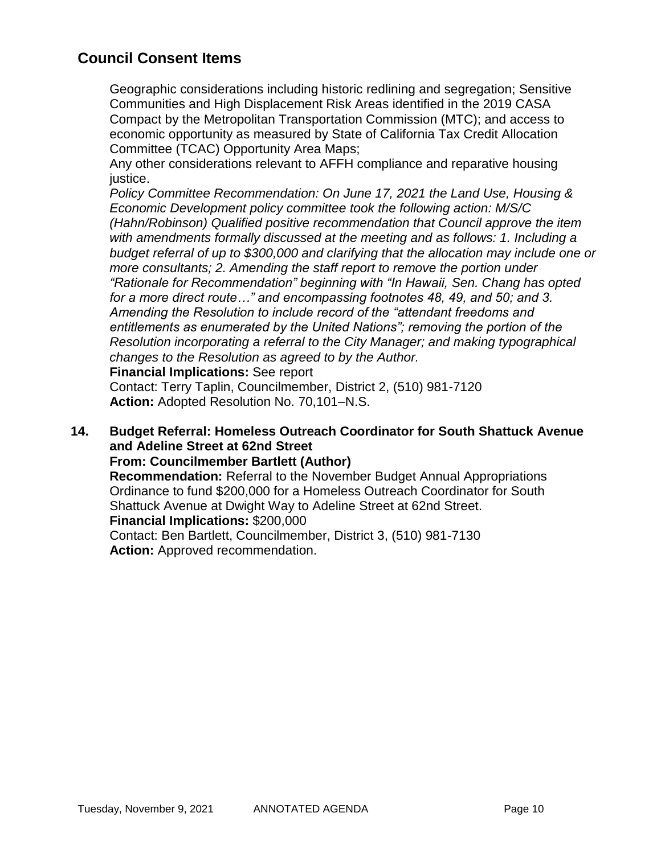Geographic considerations including historic redlining and segregation; Sensitive Communities and High Displacement Risk Areas identified in the 2019 CASA Compact by the Metropolitan Transportation Commission (MTC); and access to economic opportunity as measured by State of California Tax Credit Allocation Committee (TCAC) Opportunity Area Maps;

Any other considerations relevant to AFFH compliance and reparative housing justice.

*Policy Committee Recommendation: On June 17, 2021 the Land Use, Housing & Economic Development policy committee took the following action: M/S/C (Hahn/Robinson) Qualified positive recommendation that Council approve the item with amendments formally discussed at the meeting and as follows: 1. Including a budget referral of up to \$300,000 and clarifying that the allocation may include one or more consultants; 2. Amending the staff report to remove the portion under "Rationale for Recommendation" beginning with "In Hawaii, Sen. Chang has opted for a more direct route…" and encompassing footnotes 48, 49, and 50; and 3. Amending the Resolution to include record of the "attendant freedoms and entitlements as enumerated by the United Nations"; removing the portion of the Resolution incorporating a referral to the City Manager; and making typographical changes to the Resolution as agreed to by the Author.* 

**Financial Implications:** See report

Contact: Terry Taplin, Councilmember, District 2, (510) 981-7120 **Action:** Adopted Resolution No. 70,101–N.S.

#### **14. Budget Referral: Homeless Outreach Coordinator for South Shattuck Avenue and Adeline Street at 62nd Street From: Councilmember Bartlett (Author)**

**Recommendation:** Referral to the November Budget Annual Appropriations Ordinance to fund \$200,000 for a Homeless Outreach Coordinator for South

Shattuck Avenue at Dwight Way to Adeline Street at 62nd Street.

**Financial Implications:** \$200,000

Contact: Ben Bartlett, Councilmember, District 3, (510) 981-7130 **Action:** Approved recommendation.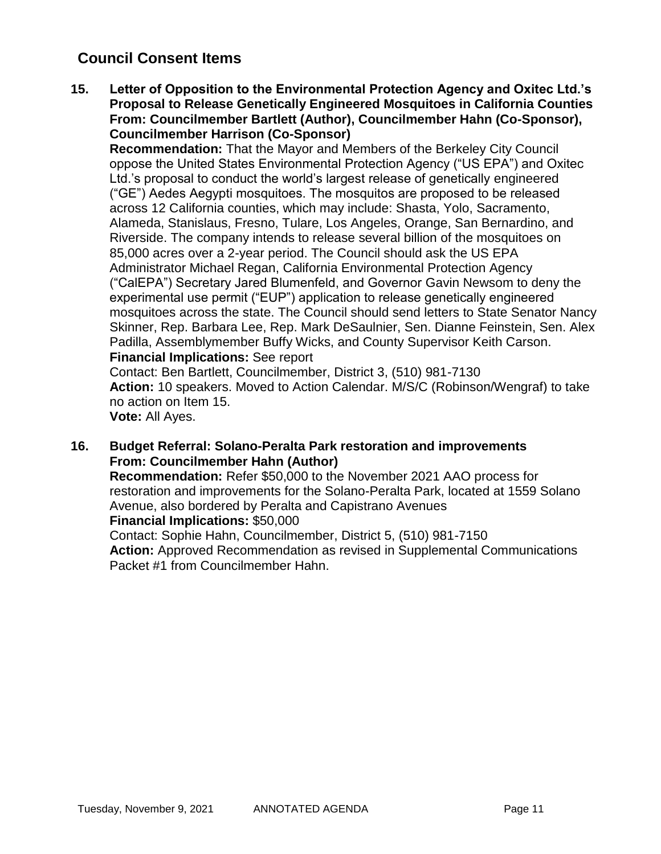**15. Letter of Opposition to the Environmental Protection Agency and Oxitec Ltd.'s Proposal to Release Genetically Engineered Mosquitoes in California Counties From: Councilmember Bartlett (Author), Councilmember Hahn (Co-Sponsor), Councilmember Harrison (Co-Sponsor)**

**Recommendation:** That the Mayor and Members of the Berkeley City Council oppose the United States Environmental Protection Agency ("US EPA") and Oxitec Ltd.'s proposal to conduct the world's largest release of genetically engineered ("GE") Aedes Aegypti mosquitoes. The mosquitos are proposed to be released across 12 California counties, which may include: Shasta, Yolo, Sacramento, Alameda, Stanislaus, Fresno, Tulare, Los Angeles, Orange, San Bernardino, and Riverside. The company intends to release several billion of the mosquitoes on 85,000 acres over a 2-year period. The Council should ask the US EPA Administrator Michael Regan, California Environmental Protection Agency ("CalEPA") Secretary Jared Blumenfeld, and Governor Gavin Newsom to deny the experimental use permit ("EUP") application to release genetically engineered mosquitoes across the state. The Council should send letters to State Senator Nancy Skinner, Rep. Barbara Lee, Rep. Mark DeSaulnier, Sen. Dianne Feinstein, Sen. Alex Padilla, Assemblymember Buffy Wicks, and County Supervisor Keith Carson. **Financial Implications:** See report

Contact: Ben Bartlett, Councilmember, District 3, (510) 981-7130 **Action:** 10 speakers. Moved to Action Calendar. M/S/C (Robinson/Wengraf) to take no action on Item 15.

**Vote:** All Ayes.

**16. Budget Referral: Solano-Peralta Park restoration and improvements From: Councilmember Hahn (Author)**

**Recommendation:** Refer \$50,000 to the November 2021 AAO process for restoration and improvements for the Solano-Peralta Park, located at 1559 Solano Avenue, also bordered by Peralta and Capistrano Avenues **Financial Implications:** \$50,000

Contact: Sophie Hahn, Councilmember, District 5, (510) 981-7150 **Action:** Approved Recommendation as revised in Supplemental Communications Packet #1 from Councilmember Hahn.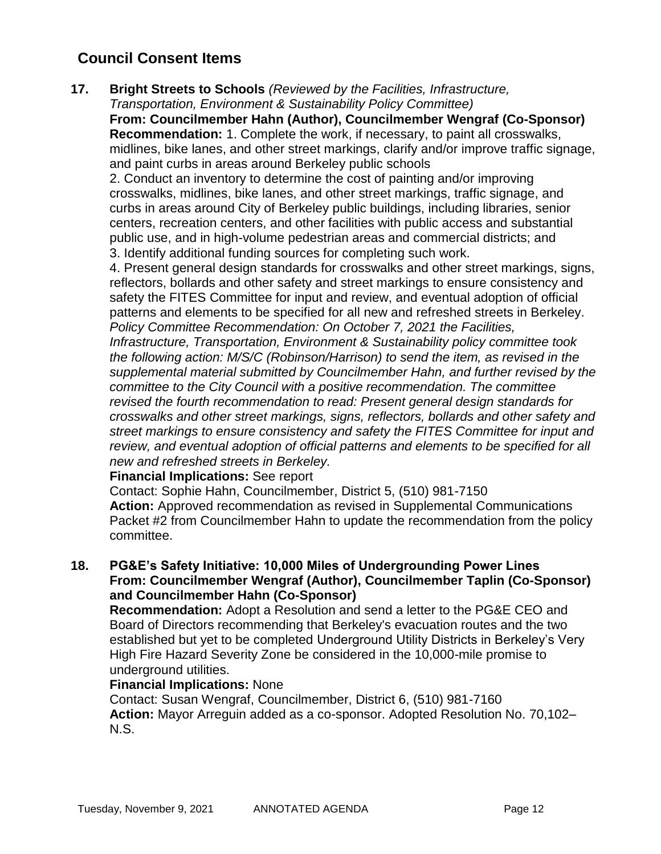**17. Bright Streets to Schools** *(Reviewed by the Facilities, Infrastructure, Transportation, Environment & Sustainability Policy Committee)*

**From: Councilmember Hahn (Author), Councilmember Wengraf (Co-Sponsor) Recommendation:** 1. Complete the work, if necessary, to paint all crosswalks, midlines, bike lanes, and other street markings, clarify and/or improve traffic signage, and paint curbs in areas around Berkeley public schools

2. Conduct an inventory to determine the cost of painting and/or improving crosswalks, midlines, bike lanes, and other street markings, traffic signage, and curbs in areas around City of Berkeley public buildings, including libraries, senior centers, recreation centers, and other facilities with public access and substantial public use, and in high-volume pedestrian areas and commercial districts; and 3. Identify additional funding sources for completing such work.

4. Present general design standards for crosswalks and other street markings, signs, reflectors, bollards and other safety and street markings to ensure consistency and safety the FITES Committee for input and review, and eventual adoption of official patterns and elements to be specified for all new and refreshed streets in Berkeley. *Policy Committee Recommendation: On October 7, 2021 the Facilities,* 

*Infrastructure, Transportation, Environment & Sustainability policy committee took the following action: M/S/C (Robinson/Harrison) to send the item, as revised in the supplemental material submitted by Councilmember Hahn, and further revised by the committee to the City Council with a positive recommendation. The committee revised the fourth recommendation to read: Present general design standards for crosswalks and other street markings, signs, reflectors, bollards and other safety and street markings to ensure consistency and safety the FITES Committee for input and review, and eventual adoption of official patterns and elements to be specified for all new and refreshed streets in Berkeley.*

**Financial Implications:** See report

Contact: Sophie Hahn, Councilmember, District 5, (510) 981-7150 **Action:** Approved recommendation as revised in Supplemental Communications Packet #2 from Councilmember Hahn to update the recommendation from the policy committee.

## **18. PG&E's Safety Initiative: 10,000 Miles of Undergrounding Power Lines From: Councilmember Wengraf (Author), Councilmember Taplin (Co-Sponsor) and Councilmember Hahn (Co-Sponsor)**

**Recommendation:** Adopt a Resolution and send a letter to the PG&E CEO and Board of Directors recommending that Berkeley's evacuation routes and the two established but yet to be completed Underground Utility Districts in Berkeley's Very High Fire Hazard Severity Zone be considered in the 10,000-mile promise to underground utilities.

## **Financial Implications:** None

Contact: Susan Wengraf, Councilmember, District 6, (510) 981-7160 **Action:** Mayor Arreguin added as a co-sponsor. Adopted Resolution No. 70,102– N.S.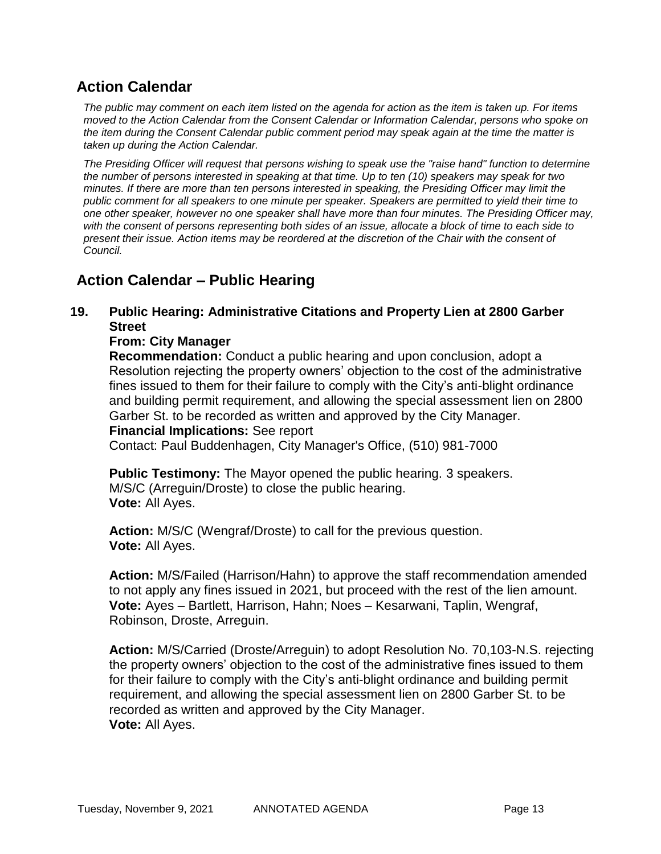## **Action Calendar**

*The public may comment on each item listed on the agenda for action as the item is taken up. For items moved to the Action Calendar from the Consent Calendar or Information Calendar, persons who spoke on the item during the Consent Calendar public comment period may speak again at the time the matter is taken up during the Action Calendar.*

*The Presiding Officer will request that persons wishing to speak use the "raise hand" function to determine the number of persons interested in speaking at that time. Up to ten (10) speakers may speak for two minutes. If there are more than ten persons interested in speaking, the Presiding Officer may limit the public comment for all speakers to one minute per speaker. Speakers are permitted to yield their time to one other speaker, however no one speaker shall have more than four minutes. The Presiding Officer may, with the consent of persons representing both sides of an issue, allocate a block of time to each side to present their issue. Action items may be reordered at the discretion of the Chair with the consent of Council.*

## **Action Calendar – Public Hearing**

## **19. Public Hearing: Administrative Citations and Property Lien at 2800 Garber Street**

### **From: City Manager**

**Recommendation:** Conduct a public hearing and upon conclusion, adopt a Resolution rejecting the property owners' objection to the cost of the administrative fines issued to them for their failure to comply with the City's anti-blight ordinance and building permit requirement, and allowing the special assessment lien on 2800 Garber St. to be recorded as written and approved by the City Manager. **Financial Implications:** See report Contact: Paul Buddenhagen, City Manager's Office, (510) 981-7000

**Public Testimony:** The Mayor opened the public hearing. 3 speakers. M/S/C (Arreguin/Droste) to close the public hearing. **Vote:** All Ayes.

**Action:** M/S/C (Wengraf/Droste) to call for the previous question. **Vote:** All Ayes.

**Action:** M/S/Failed (Harrison/Hahn) to approve the staff recommendation amended to not apply any fines issued in 2021, but proceed with the rest of the lien amount. **Vote:** Ayes – Bartlett, Harrison, Hahn; Noes – Kesarwani, Taplin, Wengraf, Robinson, Droste, Arreguin.

**Action:** M/S/Carried (Droste/Arreguin) to adopt Resolution No. 70,103-N.S. rejecting the property owners' objection to the cost of the administrative fines issued to them for their failure to comply with the City's anti-blight ordinance and building permit requirement, and allowing the special assessment lien on 2800 Garber St. to be recorded as written and approved by the City Manager. **Vote:** All Ayes.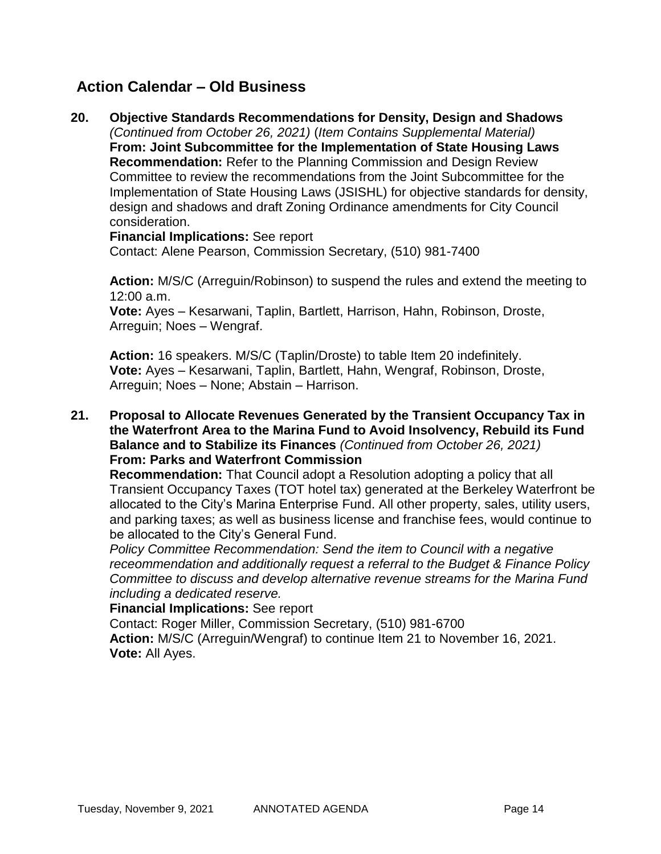## **Action Calendar – Old Business**

**20. Objective Standards Recommendations for Density, Design and Shadows** *(Continued from October 26, 2021)* (*Item Contains Supplemental Material)* **From: Joint Subcommittee for the Implementation of State Housing Laws Recommendation:** Refer to the Planning Commission and Design Review Committee to review the recommendations from the Joint Subcommittee for the Implementation of State Housing Laws (JSISHL) for objective standards for density, design and shadows and draft Zoning Ordinance amendments for City Council consideration.

**Financial Implications:** See report

Contact: Alene Pearson, Commission Secretary, (510) 981-7400

**Action:** M/S/C (Arreguin/Robinson) to suspend the rules and extend the meeting to 12:00 a.m.

**Vote:** Ayes – Kesarwani, Taplin, Bartlett, Harrison, Hahn, Robinson, Droste, Arreguin; Noes – Wengraf.

**Action:** 16 speakers. M/S/C (Taplin/Droste) to table Item 20 indefinitely. **Vote:** Ayes – Kesarwani, Taplin, Bartlett, Hahn, Wengraf, Robinson, Droste, Arreguin; Noes – None; Abstain – Harrison.

**21. Proposal to Allocate Revenues Generated by the Transient Occupancy Tax in the Waterfront Area to the Marina Fund to Avoid Insolvency, Rebuild its Fund Balance and to Stabilize its Finances** *(Continued from October 26, 2021)* **From: Parks and Waterfront Commission**

**Recommendation:** That Council adopt a Resolution adopting a policy that all Transient Occupancy Taxes (TOT hotel tax) generated at the Berkeley Waterfront be allocated to the City's Marina Enterprise Fund. All other property, sales, utility users, and parking taxes; as well as business license and franchise fees, would continue to be allocated to the City's General Fund.

*Policy Committee Recommendation: Send the item to Council with a negative receommendation and additionally request a referral to the Budget & Finance Policy Committee to discuss and develop alternative revenue streams for the Marina Fund including a dedicated reserve.*

**Financial Implications:** See report

Contact: Roger Miller, Commission Secretary, (510) 981-6700 **Action:** M/S/C (Arreguin/Wengraf) to continue Item 21 to November 16, 2021. **Vote:** All Ayes.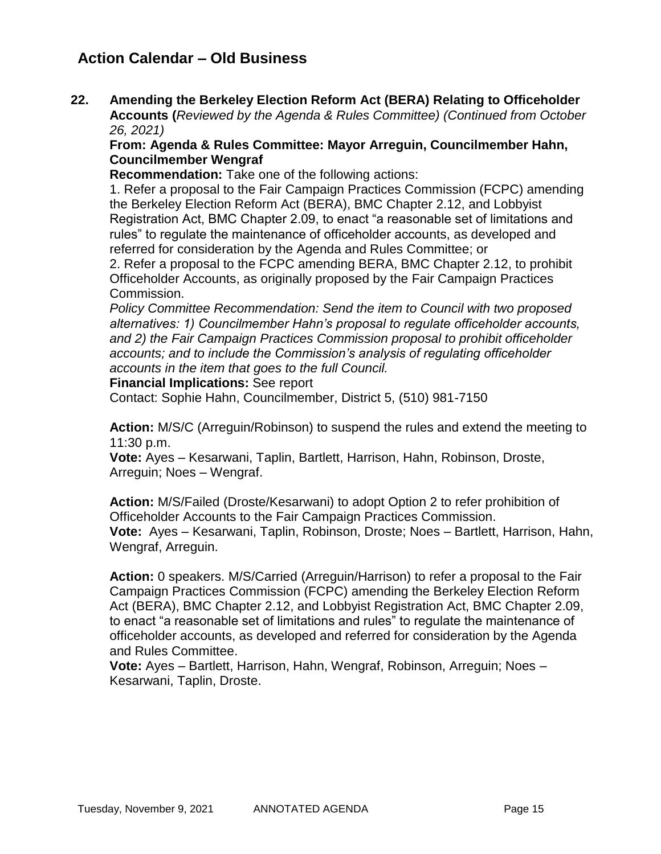## **Action Calendar – Old Business**

**22. Amending the Berkeley Election Reform Act (BERA) Relating to Officeholder Accounts (***Reviewed by the Agenda & Rules Committee) (Continued from October 26, 2021)*

### **From: Agenda & Rules Committee: Mayor Arreguin, Councilmember Hahn, Councilmember Wengraf**

**Recommendation:** Take one of the following actions:

1. Refer a proposal to the Fair Campaign Practices Commission (FCPC) amending the Berkeley Election Reform Act (BERA), BMC Chapter 2.12, and Lobbyist Registration Act, BMC Chapter 2.09, to enact "a reasonable set of limitations and rules" to regulate the maintenance of officeholder accounts, as developed and referred for consideration by the Agenda and Rules Committee; or

2. Refer a proposal to the FCPC amending BERA, BMC Chapter 2.12, to prohibit Officeholder Accounts, as originally proposed by the Fair Campaign Practices Commission.

*Policy Committee Recommendation: Send the item to Council with two proposed alternatives: 1) Councilmember Hahn's proposal to regulate officeholder accounts, and 2) the Fair Campaign Practices Commission proposal to prohibit officeholder accounts; and to include the Commission's analysis of regulating officeholder accounts in the item that goes to the full Council.* 

#### **Financial Implications:** See report

Contact: Sophie Hahn, Councilmember, District 5, (510) 981-7150

**Action:** M/S/C (Arreguin/Robinson) to suspend the rules and extend the meeting to 11:30 p.m.

**Vote:** Ayes – Kesarwani, Taplin, Bartlett, Harrison, Hahn, Robinson, Droste, Arreguin; Noes – Wengraf.

**Action:** M/S/Failed (Droste/Kesarwani) to adopt Option 2 to refer prohibition of Officeholder Accounts to the Fair Campaign Practices Commission. **Vote:** Ayes – Kesarwani, Taplin, Robinson, Droste; Noes – Bartlett, Harrison, Hahn, Wengraf, Arreguin.

**Action:** 0 speakers. M/S/Carried (Arreguin/Harrison) to refer a proposal to the Fair Campaign Practices Commission (FCPC) amending the Berkeley Election Reform Act (BERA), BMC Chapter 2.12, and Lobbyist Registration Act, BMC Chapter 2.09, to enact "a reasonable set of limitations and rules" to regulate the maintenance of officeholder accounts, as developed and referred for consideration by the Agenda and Rules Committee.

**Vote:** Ayes – Bartlett, Harrison, Hahn, Wengraf, Robinson, Arreguin; Noes – Kesarwani, Taplin, Droste.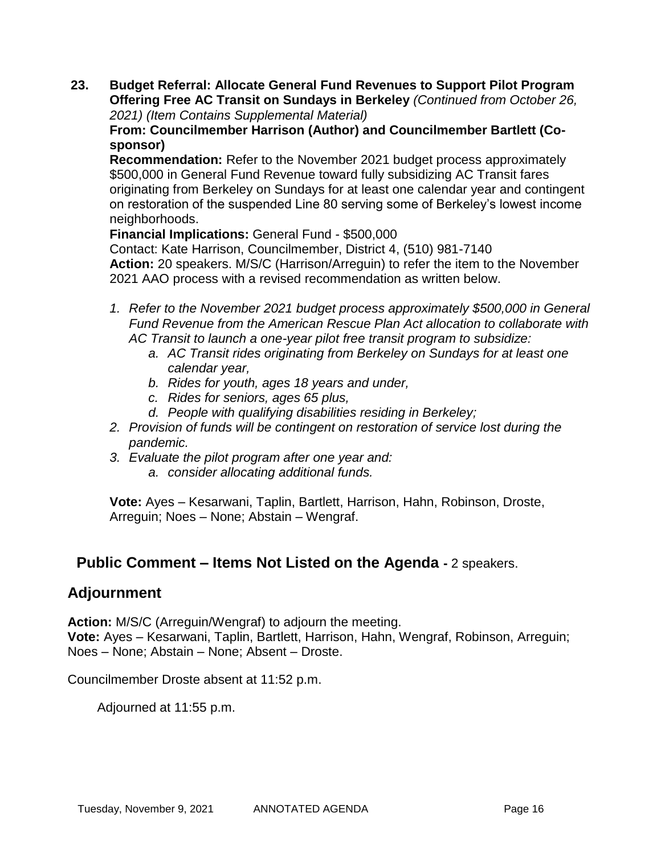**23. Budget Referral: Allocate General Fund Revenues to Support Pilot Program Offering Free AC Transit on Sundays in Berkeley** *(Continued from October 26, 2021) (Item Contains Supplemental Material)*

**From: Councilmember Harrison (Author) and Councilmember Bartlett (Cosponsor)**

**Recommendation:** Refer to the November 2021 budget process approximately \$500,000 in General Fund Revenue toward fully subsidizing AC Transit fares originating from Berkeley on Sundays for at least one calendar year and contingent on restoration of the suspended Line 80 serving some of Berkeley's lowest income neighborhoods.

**Financial Implications:** General Fund - \$500,000 Contact: Kate Harrison, Councilmember, District 4, (510) 981-7140 **Action:** 20 speakers. M/S/C (Harrison/Arreguin) to refer the item to the November 2021 AAO process with a revised recommendation as written below.

- *1. Refer to the November 2021 budget process approximately \$500,000 in General Fund Revenue from the American Rescue Plan Act allocation to collaborate with AC Transit to launch a one-year pilot free transit program to subsidize:*
	- *a. AC Transit rides originating from Berkeley on Sundays for at least one calendar year,*
	- *b. Rides for youth, ages 18 years and under,*
	- *c. Rides for seniors, ages 65 plus,*
	- *d. People with qualifying disabilities residing in Berkeley;*
- *2. Provision of funds will be contingent on restoration of service lost during the pandemic.*
- *3. Evaluate the pilot program after one year and:* 
	- *a. consider allocating additional funds.*

**Vote:** Ayes – Kesarwani, Taplin, Bartlett, Harrison, Hahn, Robinson, Droste, Arreguin; Noes – None; Abstain – Wengraf.

## **Public Comment – Items Not Listed on the Agenda -** 2 speakers.

## **Adjournment**

**Action:** M/S/C (Arreguin/Wengraf) to adjourn the meeting.

**Vote:** Ayes – Kesarwani, Taplin, Bartlett, Harrison, Hahn, Wengraf, Robinson, Arreguin; Noes – None; Abstain – None; Absent – Droste.

Councilmember Droste absent at 11:52 p.m.

Adjourned at 11:55 p.m.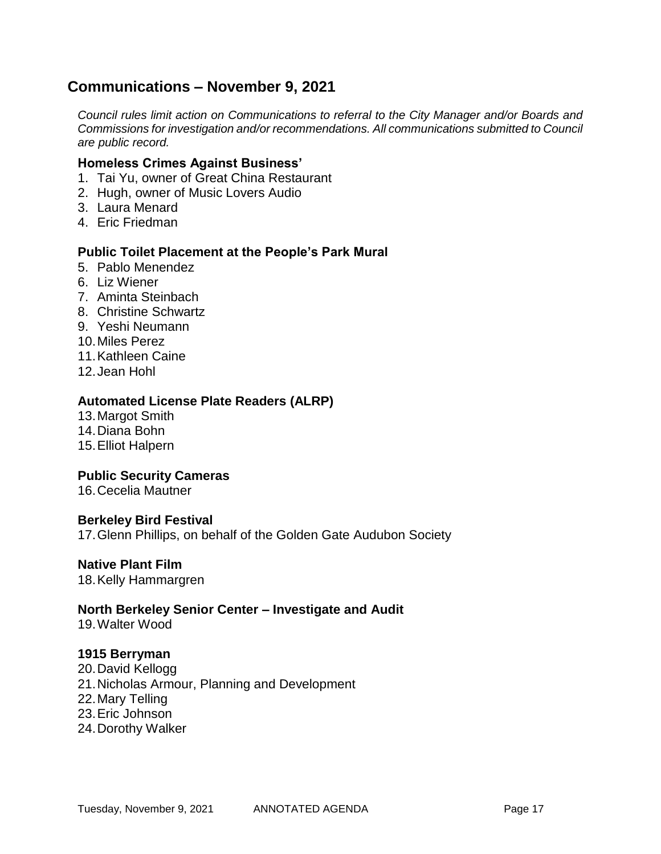## **Communications – November 9, 2021**

*Council rules limit action on Communications to referral to the City Manager and/or Boards and Commissions for investigation and/or recommendations. All communications submitted to Council are public record.*

### **Homeless Crimes Against Business'**

- 1. Tai Yu, owner of Great China Restaurant
- 2. Hugh, owner of Music Lovers Audio
- 3. Laura Menard
- 4. Eric Friedman

#### **Public Toilet Placement at the People's Park Mural**

- 5. Pablo Menendez
- 6. Liz Wiener
- 7. Aminta Steinbach
- 8. Christine Schwartz
- 9. Yeshi Neumann
- 10.Miles Perez
- 11.Kathleen Caine
- 12.Jean Hohl

#### **Automated License Plate Readers (ALRP)**

- 13.Margot Smith
- 14.Diana Bohn
- 15.Elliot Halpern

#### **Public Security Cameras**

16.Cecelia Mautner

#### **Berkeley Bird Festival**

17.Glenn Phillips, on behalf of the Golden Gate Audubon Society

#### **Native Plant Film**

18.Kelly Hammargren

#### **North Berkeley Senior Center – Investigate and Audit**

19.Walter Wood

#### **1915 Berryman**

- 20.David Kellogg
- 21.Nicholas Armour, Planning and Development
- 22.Mary Telling
- 23.Eric Johnson
- 24.Dorothy Walker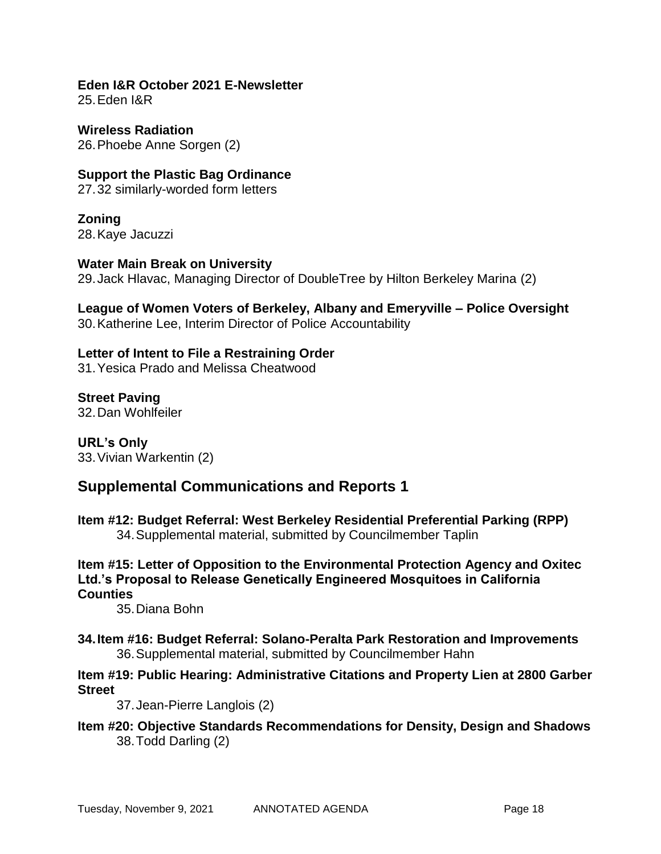#### **Eden I&R October 2021 E-Newsletter** 25.Eden I&R

**Wireless Radiation** 26.Phoebe Anne Sorgen (2)

**Support the Plastic Bag Ordinance** 27.32 similarly-worded form letters

**Zoning** 28.Kaye Jacuzzi

**Water Main Break on University** 29.Jack Hlavac, Managing Director of DoubleTree by Hilton Berkeley Marina (2)

**League of Women Voters of Berkeley, Albany and Emeryville – Police Oversight** 30.Katherine Lee, Interim Director of Police Accountability

## **Letter of Intent to File a Restraining Order**

31.Yesica Prado and Melissa Cheatwood

**Street Paving** 32.Dan Wohlfeiler

**URL's Only** 33.Vivian Warkentin (2)

## **Supplemental Communications and Reports 1**

**Item #12: Budget Referral: West Berkeley Residential Preferential Parking (RPP)** 34.Supplemental material, submitted by Councilmember Taplin

**Item #15: Letter of Opposition to the Environmental Protection Agency and Oxitec Ltd.'s Proposal to Release Genetically Engineered Mosquitoes in California Counties**

35.Diana Bohn

**34.Item #16: Budget Referral: Solano-Peralta Park Restoration and Improvements** 36.Supplemental material, submitted by Councilmember Hahn

## **Item #19: Public Hearing: Administrative Citations and Property Lien at 2800 Garber Street**

37.Jean-Pierre Langlois (2)

**Item #20: Objective Standards Recommendations for Density, Design and Shadows** 38.Todd Darling (2)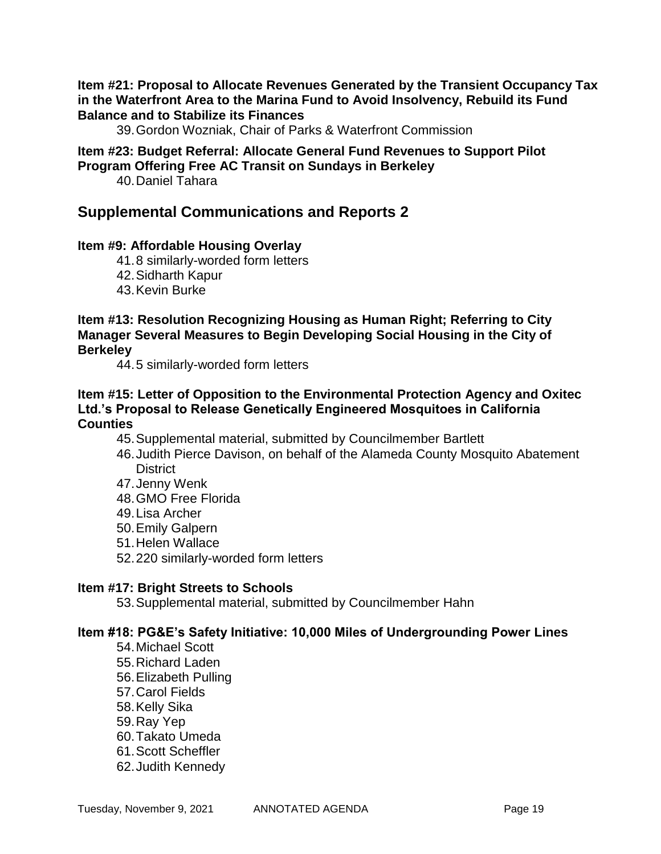### **Item #21: Proposal to Allocate Revenues Generated by the Transient Occupancy Tax in the Waterfront Area to the Marina Fund to Avoid Insolvency, Rebuild its Fund Balance and to Stabilize its Finances**

39.Gordon Wozniak, Chair of Parks & Waterfront Commission

#### **Item #23: Budget Referral: Allocate General Fund Revenues to Support Pilot Program Offering Free AC Transit on Sundays in Berkeley**

40.Daniel Tahara

## **Supplemental Communications and Reports 2**

### **Item #9: Affordable Housing Overlay**

- 41.8 similarly-worded form letters
- 42.Sidharth Kapur
- 43.Kevin Burke

### **Item #13: Resolution Recognizing Housing as Human Right; Referring to City Manager Several Measures to Begin Developing Social Housing in the City of Berkeley**

44.5 similarly-worded form letters

### **Item #15: Letter of Opposition to the Environmental Protection Agency and Oxitec Ltd.'s Proposal to Release Genetically Engineered Mosquitoes in California Counties**

- 45.Supplemental material, submitted by Councilmember Bartlett
- 46.Judith Pierce Davison, on behalf of the Alameda County Mosquito Abatement **District**
- 47.Jenny Wenk
- 48.GMO Free Florida
- 49.Lisa Archer
- 50.Emily Galpern
- 51.Helen Wallace
- 52.220 similarly-worded form letters

#### **Item #17: Bright Streets to Schools**

53.Supplemental material, submitted by Councilmember Hahn

#### **Item #18: PG&E's Safety Initiative: 10,000 Miles of Undergrounding Power Lines**

- 54.Michael Scott
- 55.Richard Laden
- 56.Elizabeth Pulling
- 57.Carol Fields
- 58.Kelly Sika
- 59.Ray Yep
- 60.Takato Umeda
- 61.Scott Scheffler
- 62.Judith Kennedy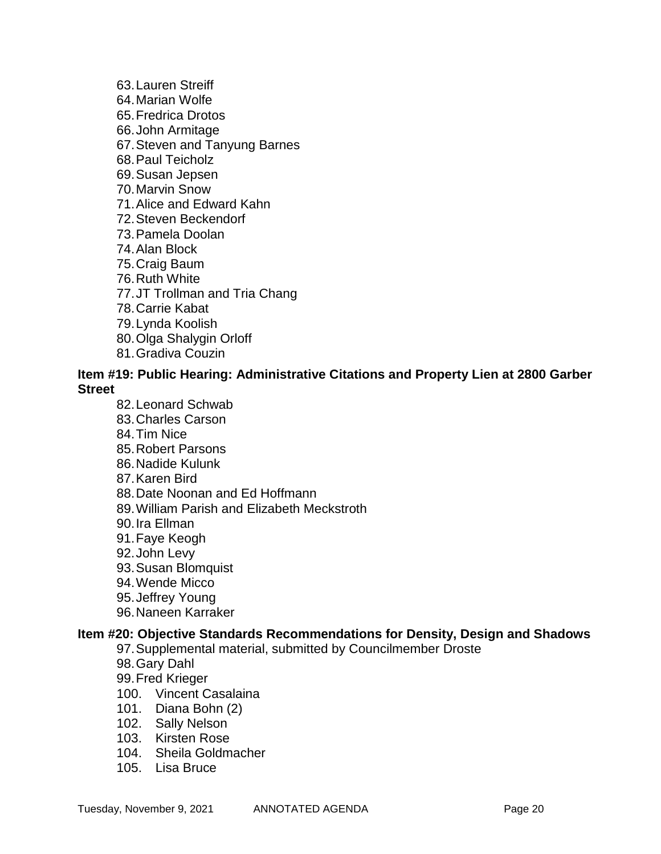- 63.Lauren Streiff 64.Marian Wolfe
- 65.Fredrica Drotos
- 66.John Armitage
- 67.Steven and Tanyung Barnes
- 68.Paul Teicholz
- 69.Susan Jepsen
- 70.Marvin Snow
- 71.Alice and Edward Kahn
- 72.Steven Beckendorf
- 73.Pamela Doolan
- 74.Alan Block
- 75.Craig Baum
- 76.Ruth White
- 77.JT Trollman and Tria Chang
- 78.Carrie Kabat
- 79.Lynda Koolish
- 80.Olga Shalygin Orloff
- 81.Gradiva Couzin

### **Item #19: Public Hearing: Administrative Citations and Property Lien at 2800 Garber Street**

- 82.Leonard Schwab
- 83.Charles Carson
- 84.Tim Nice
- 85.Robert Parsons
- 86.Nadide Kulunk
- 87.Karen Bird
- 88.Date Noonan and Ed Hoffmann
- 89.William Parish and Elizabeth Meckstroth
- 90.Ira Ellman
- 91.Faye Keogh
- 92.John Levy
- 93.Susan Blomquist
- 94.Wende Micco
- 95.Jeffrey Young
- 96.Naneen Karraker

## **Item #20: Objective Standards Recommendations for Density, Design and Shadows**

- 97.Supplemental material, submitted by Councilmember Droste
- 98.Gary Dahl
- 99.Fred Krieger
- 100. Vincent Casalaina
- 101. Diana Bohn (2)
- 102. Sally Nelson
- 103. Kirsten Rose
- 104. Sheila Goldmacher
- 105. Lisa Bruce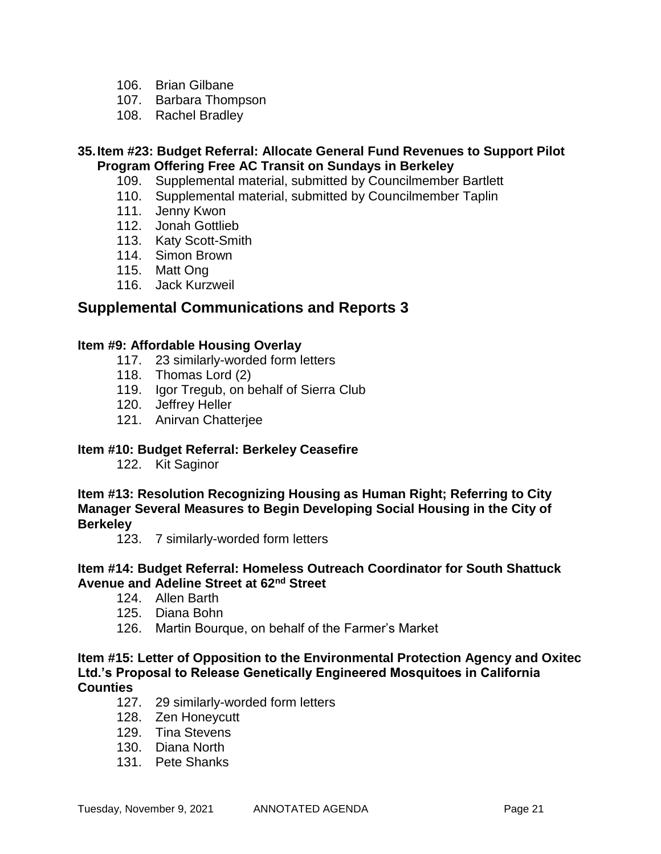- 106. Brian Gilbane
- 107. Barbara Thompson
- 108. Rachel Bradley

### **35.Item #23: Budget Referral: Allocate General Fund Revenues to Support Pilot Program Offering Free AC Transit on Sundays in Berkeley**

- 109. Supplemental material, submitted by Councilmember Bartlett
- 110. Supplemental material, submitted by Councilmember Taplin
- 111. Jenny Kwon
- 112. Jonah Gottlieb
- 113. Katy Scott-Smith
- 114. Simon Brown
- 115. Matt Ong
- 116. Jack Kurzweil

## **Supplemental Communications and Reports 3**

### **Item #9: Affordable Housing Overlay**

- 117. 23 similarly-worded form letters
- 118. Thomas Lord (2)
- 119. Igor Tregub, on behalf of Sierra Club
- 120. Jeffrey Heller
- 121. Anirvan Chatterjee

### **Item #10: Budget Referral: Berkeley Ceasefire**

122. Kit Saginor

**Item #13: Resolution Recognizing Housing as Human Right; Referring to City Manager Several Measures to Begin Developing Social Housing in the City of Berkeley**

123. 7 similarly-worded form letters

### **Item #14: Budget Referral: Homeless Outreach Coordinator for South Shattuck Avenue and Adeline Street at 62nd Street**

- 124. Allen Barth
- 125. Diana Bohn
- 126. Martin Bourque, on behalf of the Farmer's Market

### **Item #15: Letter of Opposition to the Environmental Protection Agency and Oxitec Ltd.'s Proposal to Release Genetically Engineered Mosquitoes in California Counties**

- 127. 29 similarly-worded form letters
- 128. Zen Honeycutt
- 129. Tina Stevens
- 130. Diana North
- 131. Pete Shanks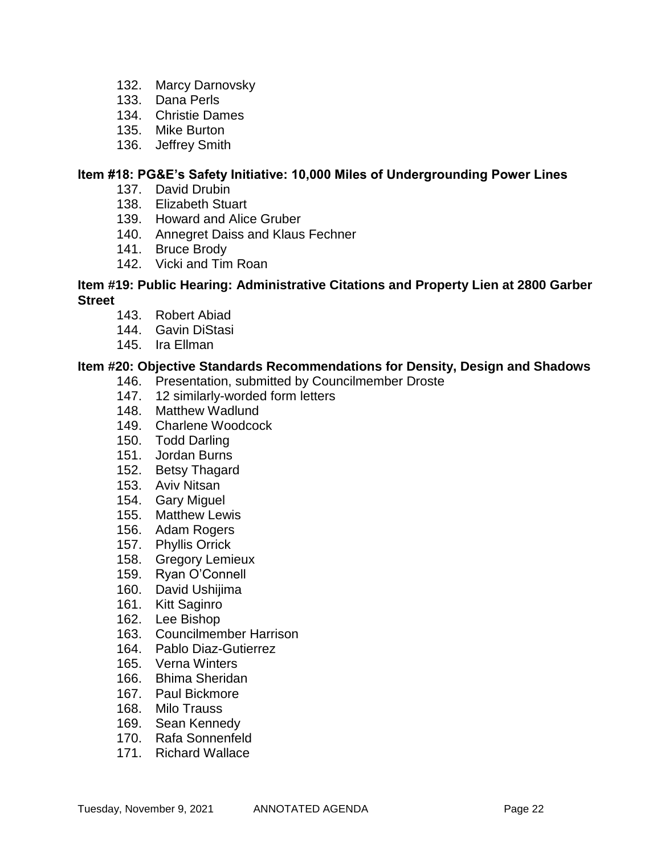- 132. Marcy Darnovsky
- 133. Dana Perls
- 134. Christie Dames
- 135. Mike Burton
- 136. Jeffrey Smith

### **Item #18: PG&E's Safety Initiative: 10,000 Miles of Undergrounding Power Lines**

- 137. David Drubin
- 138. Elizabeth Stuart
- 139. Howard and Alice Gruber
- 140. Annegret Daiss and Klaus Fechner
- 141. Bruce Brody
- 142. Vicki and Tim Roan

### **Item #19: Public Hearing: Administrative Citations and Property Lien at 2800 Garber Street**

- 143. Robert Abiad
- 144. Gavin DiStasi
- 145. Ira Ellman

### **Item #20: Objective Standards Recommendations for Density, Design and Shadows**

- 146. Presentation, submitted by Councilmember Droste
- 147. 12 similarly-worded form letters
- 148. Matthew Wadlund
- 149. Charlene Woodcock
- 150. Todd Darling
- 151. Jordan Burns
- 152. Betsy Thagard
- 153. Aviv Nitsan
- 154. Gary Miguel
- 155. Matthew Lewis
- 156. Adam Rogers
- 157. Phyllis Orrick
- 158. Gregory Lemieux
- 159. Ryan O'Connell
- 160. David Ushijima
- 161. Kitt Saginro
- 162. Lee Bishop
- 163. Councilmember Harrison
- 164. Pablo Diaz-Gutierrez
- 165. Verna Winters
- 166. Bhima Sheridan
- 167. Paul Bickmore
- 168. Milo Trauss
- 169. Sean Kennedy
- 170. Rafa Sonnenfeld
- 171. Richard Wallace